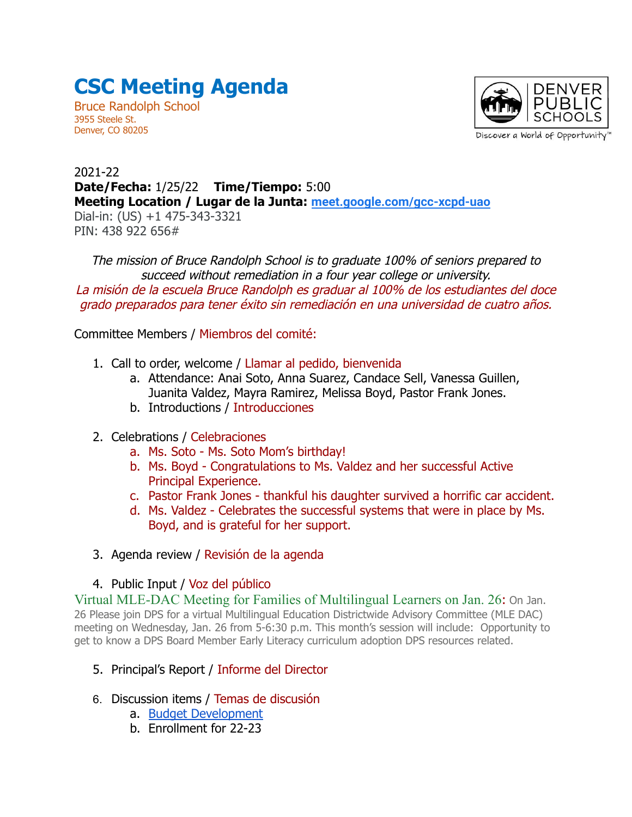## **CSC Meeting Agenda**

Bruce Randolph School 3955 Steele St. Denver, CO 80205



Discover a World of Opportunity"

## 2021-22 **Date/Fecha:** 1/25/22 **Time/Tiempo:** 5:00 **Meeting Location / Lugar de la Junta: [meet.google.com/gcc-xcpd-uao](http://meet.google.com/gcc-xcpd-uao)** Dial-in: (US) +1 475-343-3321 PIN: 438 922 656#

The mission of Bruce Randolph School is to graduate 100% of seniors prepared to succeed without remediation in a four year college or university. La misión de la escuela Bruce Randolph es graduar al 100% de los estudiantes del doce grado preparados para tener éxito sin remediación en una universidad de cuatro años.

Committee Members / Miembros del comité:

- 1. Call to order, welcome / Llamar al pedido, bienvenida
	- a. Attendance: Anai Soto, Anna Suarez, Candace Sell, Vanessa Guillen, Juanita Valdez, Mayra Ramirez, Melissa Boyd, Pastor Frank Jones.
	- b. Introductions / Introducciones
- 2. Celebrations / Celebraciones
	- a. Ms. Soto Ms. Soto Mom's birthday!
	- b. Ms. Boyd Congratulations to Ms. Valdez and her successful Active Principal Experience.
	- c. Pastor Frank Jones thankful his daughter survived a horrific car accident.
	- d. Ms. Valdez Celebrates the successful systems that were in place by Ms. Boyd, and is grateful for her support.
- 3. Agenda review / Revisión de la agenda

## 4. Public Input / Voz del público

[Virtual MLE-DAC Meeting for Families of Multilingual Learners on Jan. 26](https://equity.dpsk12.org/news/virtual-mle-dac-meeting-for-families-of-multilingual-learners-on-jan-26/): On Jan. 26 Please join DPS for a virtual Multilingual Education Districtwide Advisory Committee (MLE DAC) meeting on Wednesday, Jan. 26 from 5-6:30 p.m. This month's session will include: Opportunity to get to know a DPS Board Member Early Literacy curriculum adoption DPS resources related.

- 5. Principal's Report / Informe del Director
- 6. Discussion items / Temas de discusión
	- a. [Budget Development](https://docs.google.com/presentation/d/1xazS03ro1eSlGfiQPOAqgtKMrLT5Ecr9vzplV87Avpo/edit?usp=sharing)
	- b. Enrollment for 22-23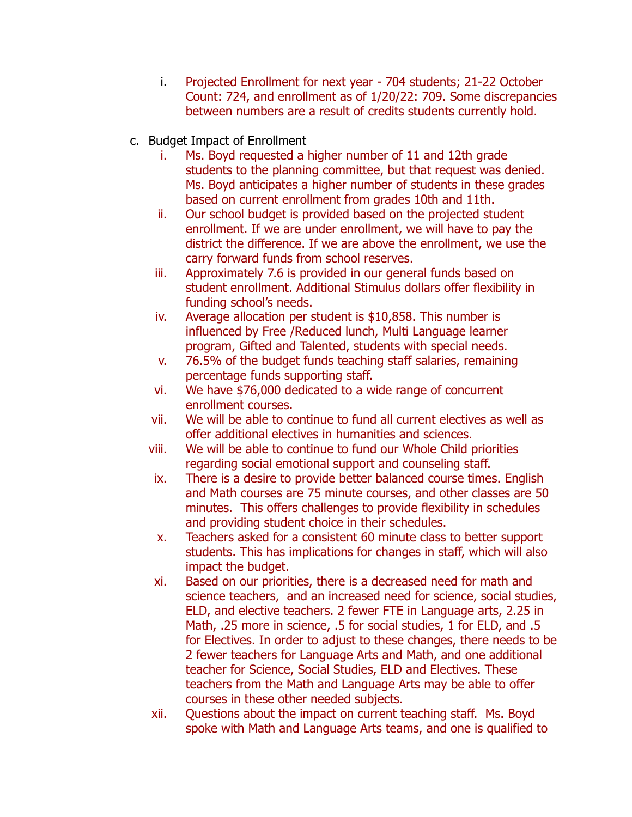- i. Projected Enrollment for next year 704 students; 21-22 October Count: 724, and enrollment as of 1/20/22: 709. Some discrepancies between numbers are a result of credits students currently hold.
- c. Budget Impact of Enrollment
	- i. Ms. Boyd requested a higher number of 11 and 12th grade students to the planning committee, but that request was denied. Ms. Boyd anticipates a higher number of students in these grades based on current enrollment from grades 10th and 11th.
	- ii. Our school budget is provided based on the projected student enrollment. If we are under enrollment, we will have to pay the district the difference. If we are above the enrollment, we use the carry forward funds from school reserves.
	- iii. Approximately 7.6 is provided in our general funds based on student enrollment. Additional Stimulus dollars offer flexibility in funding school's needs.
	- iv. Average allocation per student is \$10,858. This number is influenced by Free /Reduced lunch, Multi Language learner program, Gifted and Talented, students with special needs.
	- v. 76.5% of the budget funds teaching staff salaries, remaining percentage funds supporting staff.
	- vi. We have \$76,000 dedicated to a wide range of concurrent enrollment courses.
	- vii. We will be able to continue to fund all current electives as well as offer additional electives in humanities and sciences.
	- viii. We will be able to continue to fund our Whole Child priorities regarding social emotional support and counseling staff.
	- ix. There is a desire to provide better balanced course times. English and Math courses are 75 minute courses, and other classes are 50 minutes. This offers challenges to provide flexibility in schedules and providing student choice in their schedules.
	- x. Teachers asked for a consistent 60 minute class to better support students. This has implications for changes in staff, which will also impact the budget.
	- xi. Based on our priorities, there is a decreased need for math and science teachers, and an increased need for science, social studies, ELD, and elective teachers. 2 fewer FTE in Language arts, 2.25 in Math, .25 more in science, .5 for social studies, 1 for ELD, and .5 for Electives. In order to adjust to these changes, there needs to be 2 fewer teachers for Language Arts and Math, and one additional teacher for Science, Social Studies, ELD and Electives. These teachers from the Math and Language Arts may be able to offer courses in these other needed subjects.
	- xii. Questions about the impact on current teaching staff. Ms. Boyd spoke with Math and Language Arts teams, and one is qualified to